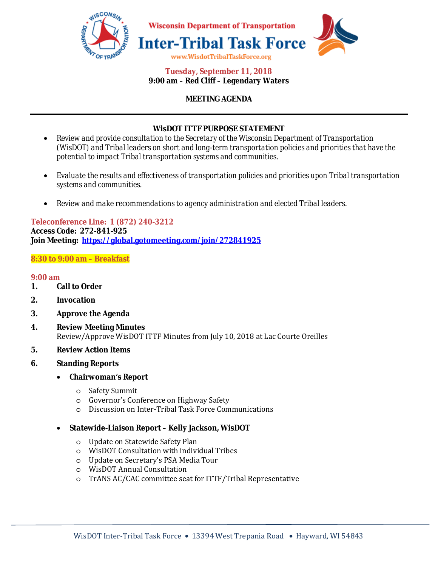

#### **Tuesday, September 11, 2018 9:00 am – Red Cliff – Legendary Waters**

# **MEETING AGENDA**

# **WisDOT ITTF PURPOSE STATEMENT**

- *Review and provide consultation to the Secretary of the Wisconsin Department of Transportation (WisDOT) and Tribal leaders on short and long-term transportation policies and priorities that have the potential to impact Tribal transportation systems and communities.*
- *Evaluate the results and effectiveness of transportation policies and priorities upon Tribal transportation systems and communities.*
- *Review and make recommendations to agency administration and elected Tribal leaders.*

## **Teleconference Line: 1 (872) 240-3212 Access Code: 272-841-925 Join Meeting: https://global.gotomeeting.com/join/272841925**

# **8:30 to 9:00 am – Breakfast**

#### **9:00 am**

- **1. Call to Order**
- **2. Invocation**
- **3. Approve the Agenda**
- **4. Review Meeting Minutes**  Review/Approve WisDOT ITTF Minutes from July 10, 2018 at Lac Courte Oreilles
- **5. Review Action Items**
- **6. Standing Reports** 
	- **Chairwoman's Report**
		- o Safety Summit
		- o Governor's Conference on Highway Safety
		- o Discussion on Inter-Tribal Task Force Communications

#### • **Statewide-Liaison Report – Kelly Jackson, WisDOT**

- o Update on Statewide Safety Plan
- o WisDOT Consultation with individual Tribes
- o Update on Secretary's PSA Media Tour
- o WisDOT Annual Consultation
- o TrANS AC/CAC committee seat for ITTF/Tribal Representative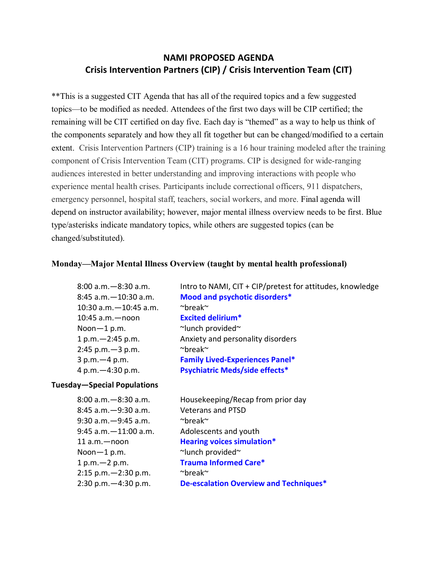# **NAMI PROPOSED AGENDA Crisis Intervention Partners (CIP) / Crisis Intervention Team (CIT)**

\*\*This is a suggested CIT Agenda that has all of the required topics and a few suggested topics—to be modified as needed. Attendees of the first two days will be CIP certified; the remaining will be CIT certified on day five. Each day is "themed" as a way to help us think of the components separately and how they all fit together but can be changed/modified to a certain extent. Crisis Intervention Partners (CIP) training is a 16 hour training modeled after the training component of Crisis Intervention Team (CIT) programs. CIP is designed for wide-ranging audiences interested in better understanding and improving interactions with people who experience mental health crises. Participants include correctional officers, 911 dispatchers, emergency personnel, hospital staff, teachers, social workers, and more. Final agenda will depend on instructor availability; however, major mental illness overview needs to be first. Blue type/asterisks indicate mandatory topics, while others are suggested topics (can be changed/substituted).

#### **Monday—Major Mental Illness Overview (taught by mental health professional)**

| $8:00$ a.m. $-8:30$ a.m.  | Intro to NAMI, CIT + CIP/pretest for attitudes, knowledge |
|---------------------------|-----------------------------------------------------------|
| $8:45$ a.m. $-10:30$ a.m. | Mood and psychotic disorders*                             |
| 10:30 a.m. - 10:45 a.m.   | $\sim$ break $\sim$                                       |
| $10:45$ a.m. $-$ noon     | <b>Excited delirium*</b>                                  |
| Noon-1 p.m.               | ~lunch provided                                           |
| $1 p.m. - 2:45 p.m.$      | Anxiety and personality disorders                         |
| $2:45$ p.m. $-3$ p.m.     | $\sim$ break $\sim$                                       |
| $3 p.m. - 4 p.m.$         | <b>Family Lived-Experiences Panel*</b>                    |
| 4 p.m. $-4:30$ p.m.       | <b>Psychiatric Meds/side effects*</b>                     |
|                           |                                                           |

#### **Tuesday—Special Populations**

| $8:00$ a.m. $-8:30$ a.m.  | Housekeeping/Recap from prior day      |
|---------------------------|----------------------------------------|
| $8:45$ a.m. $-9:30$ a.m.  | <b>Veterans and PTSD</b>               |
| $9:30$ a.m. $-9:45$ a.m.  | $\sim$ break $\sim$                    |
| $9:45$ a.m. $-11:00$ a.m. | Adolescents and youth                  |
| $11$ a.m. $-$ noon        | <b>Hearing voices simulation*</b>      |
| Noon-1 p.m.               | ~lunch provided~                       |
| $1 p.m. - 2 p.m.$         | <b>Trauma Informed Care*</b>           |
| $2:15$ p.m. $-2:30$ p.m.  | $\sim$ break $\sim$                    |
| $2:30$ p.m. $-4:30$ p.m.  | De-escalation Overview and Techniques* |
|                           |                                        |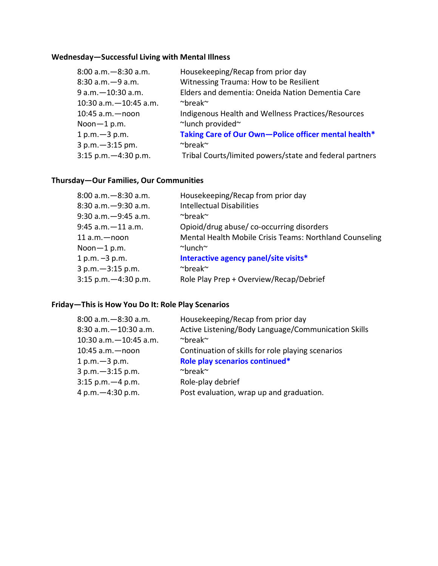# **Wednesday—Successful Living with Mental Illness**

| $8:00$ a.m. $-8:30$ a.m.   | Housekeeping/Recap from prior day                       |
|----------------------------|---------------------------------------------------------|
| $8:30$ a.m. $-9$ a.m.      | Witnessing Trauma: How to be Resilient                  |
| $9 a.m. - 10:30 a.m.$      | Elders and dementia: Oneida Nation Dementia Care        |
| $10:30$ a.m. $-10:45$ a.m. | $\sim$ break $\sim$                                     |
| $10:45$ a.m. - noon        | Indigenous Health and Wellness Practices/Resources      |
| Noon $-1$ p.m.             | ~lunch provided~                                        |
| $1 p.m. - 3 p.m.$          | Taking Care of Our Own-Police officer mental health*    |
| 3 p.m. - 3:15 pm.          | $\sim$ break $\sim$                                     |
| $3:15$ p.m. $-4:30$ p.m.   | Tribal Courts/limited powers/state and federal partners |
|                            |                                                         |

# **Thursday—Our Families, Our Communities**

| $8:00$ a.m. $-8:30$ a.m. | Housekeeping/Recap from prior day                       |
|--------------------------|---------------------------------------------------------|
| 8:30 a.m. - 9:30 a.m.    | <b>Intellectual Disabilities</b>                        |
| $9:30$ a.m. $-9:45$ a.m. | $\sim$ break $\sim$                                     |
| $9:45$ a.m. $-11$ a.m.   | Opioid/drug abuse/co-occurring disorders                |
| $11$ a.m. $-$ noon       | Mental Health Mobile Crisis Teams: Northland Counseling |
| Noon $-1$ p.m.           | $\sim$ lunch $\sim$                                     |
| 1 p.m. $-3$ p.m.         | Interactive agency panel/site visits*                   |
| $3 p.m. -3:15 p.m.$      | $\sim$ break $\sim$                                     |
| $3:15$ p.m. $-4:30$ p.m. | Role Play Prep + Overview/Recap/Debrief                 |
|                          |                                                         |

# **Friday—This is How You Do It: Role Play Scenarios**

| 8:00 a.m. - 8:30 a.m.      | Housekeeping/Recap from prior day                   |
|----------------------------|-----------------------------------------------------|
| $8:30$ a.m. $-10:30$ a.m.  | Active Listening/Body Language/Communication Skills |
| $10:30$ a.m. $-10:45$ a.m. | $\sim$ break $\sim$                                 |
| $10:45$ a.m. - noon        | Continuation of skills for role playing scenarios   |
| $1 p.m. - 3 p.m.$          | Role play scenarios continued*                      |
| $3 p.m. -3:15 p.m.$        | $\sim$ break $\sim$                                 |
| $3:15$ p.m. $-4$ p.m.      | Role-play debrief                                   |
| 4 p.m. $-4:30$ p.m.        | Post evaluation, wrap up and graduation.            |
|                            |                                                     |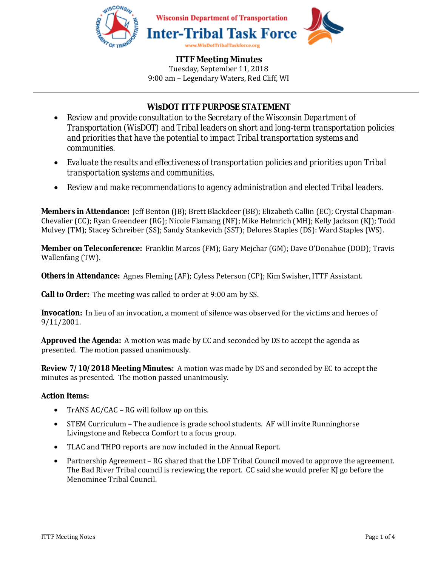

# **WisDOT ITTF PURPOSE STATEMENT**

- *Review and provide consultation to the Secretary of the Wisconsin Department of Transportation (WisDOT) and Tribal leaders on short and long-term transportation policies and priorities that have the potential to impact Tribal transportation systems and communities.*
- *Evaluate the results and effectiveness of transportation policies and priorities upon Tribal transportation systems and communities.*
- *Review and make recommendations to agency administration and elected Tribal leaders.*

**Members in Attendance:** Jeff Benton (JB); Brett Blackdeer (BB); Elizabeth Callin (EC); Crystal Chapman-Chevalier (CC); Ryan Greendeer (RG); Nicole Flamang (NF); Mike Helmrich (MH); Kelly Jackson (KJ); Todd Mulvey (TM); Stacey Schreiber (SS); Sandy Stankevich (SST); Delores Staples (DS): Ward Staples (WS).

**Member on Teleconference:** Franklin Marcos (FM); Gary Mejchar (GM); Dave O'Donahue (DOD); Travis Wallenfang (TW).

**Others in Attendance:** Agnes Fleming (AF); Cyless Peterson (CP); Kim Swisher, ITTF Assistant.

**Call to Order:** The meeting was called to order at 9:00 am by SS.

**Invocation:** In lieu of an invocation, a moment of silence was observed for the victims and heroes of 9/11/2001.

**Approved the Agenda:** A motion was made by CC and seconded by DS to accept the agenda as presented. The motion passed unanimously.

**Review 7/10/2018 Meeting Minutes:** A motion was made by DS and seconded by EC to accept the minutes as presented. The motion passed unanimously.

#### **Action Items:**

- TrANS AC/CAC RG will follow up on this.
- STEM Curriculum The audience is grade school students. AF will invite Runninghorse Livingstone and Rebecca Comfort to a focus group.
- TLAC and THPO reports are now included in the Annual Report.
- Partnership Agreement RG shared that the LDF Tribal Council moved to approve the agreement. The Bad River Tribal council is reviewing the report. CC said she would prefer KJ go before the Menominee Tribal Council.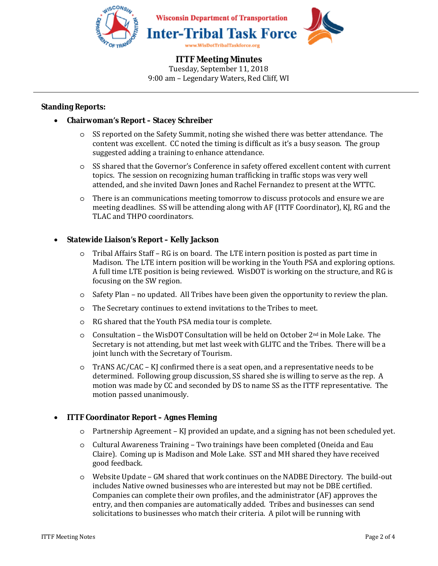

#### **Standing Reports:**

#### • **Chairwoman's Report – Stacey Schreiber**

- o SS reported on the Safety Summit, noting she wished there was better attendance. The content was excellent. CC noted the timing is difficult as it's a busy season. The group suggested adding a training to enhance attendance.
- o SS shared that the Governor's Conference in safety offered excellent content with current topics. The session on recognizing human trafficking in traffic stops was very well attended, and she invited Dawn Jones and Rachel Fernandez to present at the WTTC.
- o There is an communications meeting tomorrow to discuss protocols and ensure we are meeting deadlines. SS will be attending along with AF (ITTF Coordinator), KJ, RG and the TLAC and THPO coordinators.

## • **Statewide Liaison's Report – Kelly Jackson**

- o Tribal Affairs Staff RG is on board. The LTE intern position is posted as part time in Madison. The LTE intern position will be working in the Youth PSA and exploring options. A full time LTE position is being reviewed. WisDOT is working on the structure, and RG is focusing on the SW region.
- o Safety Plan no updated. All Tribes have been given the opportunity to review the plan.
- o The Secretary continues to extend invitations to the Tribes to meet.
- o RG shared that the Youth PSA media tour is complete.
- $\circ$  Consultation the WisDOT Consultation will be held on October 2<sup>nd</sup> in Mole Lake. The Secretary is not attending, but met last week with GLITC and the Tribes. There will be a joint lunch with the Secretary of Tourism.
- o TrANS AC/CAC KJ confirmed there is a seat open, and a representative needs to be determined. Following group discussion, SS shared she is willing to serve as the rep. A motion was made by CC and seconded by DS to name SS as the ITTF representative. The motion passed unanimously.

#### • **ITTF Coordinator Report – Agnes Fleming**

- o Partnership Agreement KJ provided an update, and a signing has not been scheduled yet.
- o Cultural Awareness Training Two trainings have been completed (Oneida and Eau Claire). Coming up is Madison and Mole Lake. SST and MH shared they have received good feedback.
- o Website Update GM shared that work continues on the NADBE Directory. The build-out includes Native owned businesses who are interested but may not be DBE certified. Companies can complete their own profiles, and the administrator (AF) approves the entry, and then companies are automatically added. Tribes and businesses can send solicitations to businesses who match their criteria. A pilot will be running with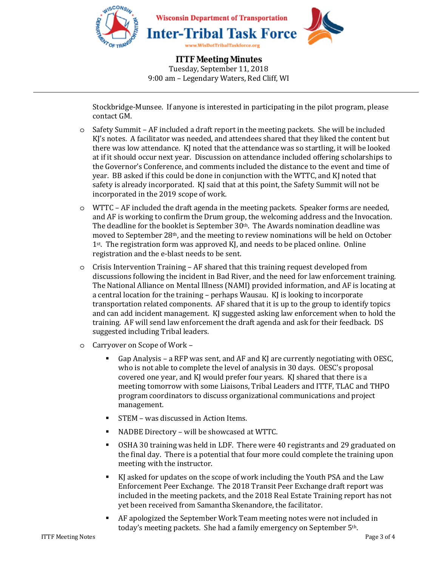

Stockbridge-Munsee. If anyone is interested in participating in the pilot program, please contact GM.

- o Safety Summit AF included a draft report in the meeting packets. She will be included KJ's notes. A facilitator was needed, and attendees shared that they liked the content but there was low attendance. KJ noted that the attendance was so startling, it will be looked at if it should occur next year. Discussion on attendance included offering scholarships to the Governor's Conference, and comments included the distance to the event and time of year. BB asked if this could be done in conjunction with the WTTC, and KJ noted that safety is already incorporated. KJ said that at this point, the Safety Summit will not be incorporated in the 2019 scope of work.
- o WTTC AF included the draft agenda in the meeting packets. Speaker forms are needed, and AF is working to confirm the Drum group, the welcoming address and the Invocation. The deadline for the booklet is September 30<sup>th</sup>. The Awards nomination deadline was moved to September 28th, and the meeting to review nominations will be held on October 1st. The registration form was approved KJ, and needs to be placed online. Online registration and the e-blast needs to be sent.
- o Crisis Intervention Training AF shared that this training request developed from discussions following the incident in Bad River, and the need for law enforcement training. The National Alliance on Mental Illness (NAMI) provided information, and AF is locating at a central location for the training – perhaps Wausau. KJ is looking to incorporate transportation related components. AF shared that it is up to the group to identify topics and can add incident management. KJ suggested asking law enforcement when to hold the training. AF will send law enforcement the draft agenda and ask for their feedback. DS suggested including Tribal leaders.
- o Carryover on Scope of Work
	- Gap Analysis a RFP was sent, and AF and KJ are currently negotiating with OESC, who is not able to complete the level of analysis in 30 days. OESC's proposal covered one year, and KJ would prefer four years. KJ shared that there is a meeting tomorrow with some Liaisons, Tribal Leaders and ITTF, TLAC and THPO program coordinators to discuss organizational communications and project management.
	- STEM was discussed in Action Items.
	- NADBE Directory will be showcased at WTTC.
	- OSHA 30 training was held in LDF. There were 40 registrants and 29 graduated on the final day. There is a potential that four more could complete the training upon meeting with the instructor.
	- KJ asked for updates on the scope of work including the Youth PSA and the Law Enforcement Peer Exchange. The 2018 Transit Peer Exchange draft report was included in the meeting packets, and the 2018 Real Estate Training report has not yet been received from Samantha Skenandore, the facilitator.
	- AF apologized the September Work Team meeting notes were not included in today's meeting packets. She had a family emergency on September 5th.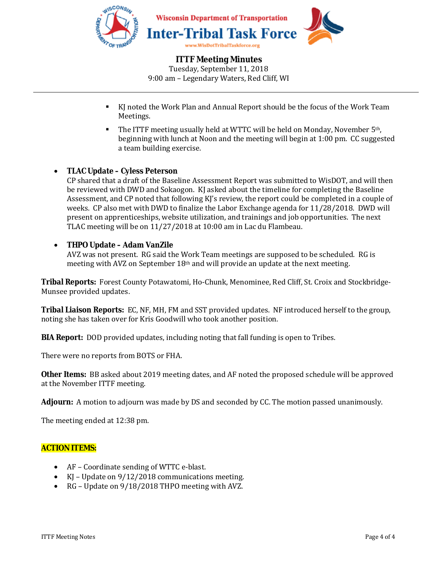

- KJ noted the Work Plan and Annual Report should be the focus of the Work Team Meetings.
- **The ITTF meeting usually held at WTTC will be held on Monday, November 5th,** beginning with lunch at Noon and the meeting will begin at 1:00 pm. CC suggested a team building exercise.

## • **TLAC Update – Cyless Peterson**

CP shared that a draft of the Baseline Assessment Report was submitted to WisDOT, and will then be reviewed with DWD and Sokaogon. KJ asked about the timeline for completing the Baseline Assessment, and CP noted that following KJ's review, the report could be completed in a couple of weeks. CP also met with DWD to finalize the Labor Exchange agenda for 11/28/2018. DWD will present on apprenticeships, website utilization, and trainings and job opportunities. The next TLAC meeting will be on 11/27/2018 at 10:00 am in Lac du Flambeau.

## • **THPO Update – Adam VanZile**

AVZ was not present. RG said the Work Team meetings are supposed to be scheduled. RG is meeting with AVZ on September 18th and will provide an update at the next meeting.

**Tribal Reports:** Forest County Potawatomi, Ho-Chunk, Menominee, Red Cliff, St. Croix and Stockbridge-Munsee provided updates.

**Tribal Liaison Reports:** EC, NF, MH, FM and SST provided updates. NF introduced herself to the group, noting she has taken over for Kris Goodwill who took another position.

**BIA Report:** DOD provided updates, including noting that fall funding is open to Tribes.

There were no reports from BOTS or FHA.

**Other Items:** BB asked about 2019 meeting dates, and AF noted the proposed schedule will be approved at the November ITTF meeting.

**Adjourn:** A motion to adjourn was made by DS and seconded by CC. The motion passed unanimously.

The meeting ended at 12:38 pm.

#### **ACTION ITEMS:**

- AF Coordinate sending of WTTC e-blast.
- KJ Update on 9/12/2018 communications meeting.
- RG Update on 9/18/2018 THPO meeting with AVZ.